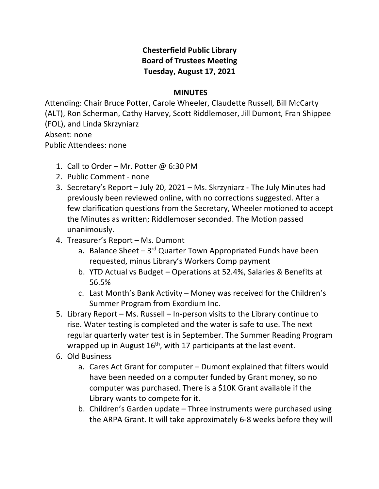## **Chesterfield Public Library Board of Trustees Meeting Tuesday, August 17, 2021**

## **MINUTES**

Attending: Chair Bruce Potter, Carole Wheeler, Claudette Russell, Bill McCarty (ALT), Ron Scherman, Cathy Harvey, Scott Riddlemoser, Jill Dumont, Fran Shippee (FOL), and Linda Skrzyniarz Absent: none Public Attendees: none

- 1. Call to Order Mr. Potter  $\omega$  6:30 PM
- 2. Public Comment none
- 3. Secretary's Report July 20, 2021 Ms. Skrzyniarz The July Minutes had previously been reviewed online, with no corrections suggested. After a few clarification questions from the Secretary, Wheeler motioned to accept the Minutes as written; Riddlemoser seconded. The Motion passed unanimously.
- 4. Treasurer's Report Ms. Dumont
	- a. Balance Sheet  $-3^{rd}$  Quarter Town Appropriated Funds have been requested, minus Library's Workers Comp payment
	- b. YTD Actual vs Budget Operations at 52.4%, Salaries & Benefits at 56.5%
	- c. Last Month's Bank Activity Money was received for the Children's Summer Program from Exordium Inc.
- 5. Library Report Ms. Russell In-person visits to the Library continue to rise. Water testing is completed and the water is safe to use. The next regular quarterly water test is in September. The Summer Reading Program wrapped up in August 16<sup>th</sup>, with 17 participants at the last event.
- 6. Old Business
	- a. Cares Act Grant for computer Dumont explained that filters would have been needed on a computer funded by Grant money, so no computer was purchased. There is a \$10K Grant available if the Library wants to compete for it.
	- b. Children's Garden update Three instruments were purchased using the ARPA Grant. It will take approximately 6-8 weeks before they will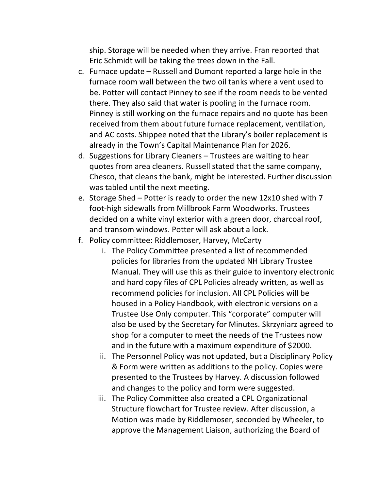ship. Storage will be needed when they arrive. Fran reported that Eric Schmidt will be taking the trees down in the Fall.

- c. Furnace update Russell and Dumont reported a large hole in the furnace room wall between the two oil tanks where a vent used to be. Potter will contact Pinney to see if the room needs to be vented there. They also said that water is pooling in the furnace room. Pinney is still working on the furnace repairs and no quote has been received from them about future furnace replacement, ventilation, and AC costs. Shippee noted that the Library's boiler replacement is already in the Town's Capital Maintenance Plan for 2026.
- d. Suggestions for Library Cleaners Trustees are waiting to hear quotes from area cleaners. Russell stated that the same company, Chesco, that cleans the bank, might be interested. Further discussion was tabled until the next meeting.
- e. Storage Shed Potter is ready to order the new 12x10 shed with 7 foot-high sidewalls from Millbrook Farm Woodworks. Trustees decided on a white vinyl exterior with a green door, charcoal roof, and transom windows. Potter will ask about a lock.
- f. Policy committee: Riddlemoser, Harvey, McCarty
	- i. The Policy Committee presented a list of recommended policies for libraries from the updated NH Library Trustee Manual. They will use this as their guide to inventory electronic and hard copy files of CPL Policies already written, as well as recommend policies for inclusion. All CPL Policies will be housed in a Policy Handbook, with electronic versions on a Trustee Use Only computer. This "corporate" computer will also be used by the Secretary for Minutes. Skrzyniarz agreed to shop for a computer to meet the needs of the Trustees now and in the future with a maximum expenditure of \$2000.
	- ii. The Personnel Policy was not updated, but a Disciplinary Policy & Form were written as additions to the policy. Copies were presented to the Trustees by Harvey. A discussion followed and changes to the policy and form were suggested.
	- iii. The Policy Committee also created a CPL Organizational Structure flowchart for Trustee review. After discussion, a Motion was made by Riddlemoser, seconded by Wheeler, to approve the Management Liaison, authorizing the Board of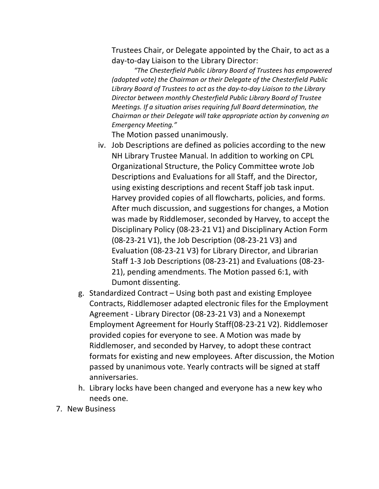Trustees Chair, or Delegate appointed by the Chair, to act as a day-to-day Liaison to the Library Director:

*"The Chesterfield Public Library Board of Trustees has empowered (adopted vote) the Chairman or their Delegate of the Chesterfield Public Library Board of Trustees to act as the day-to-day Liaison to the Library Director between monthly Chesterfield Public Library Board of Trustee Meetings. If a situation arises requiring full Board determination, the Chairman or their Delegate will take appropriate action by convening an Emergency Meeting."*

The Motion passed unanimously.

- iv. Job Descriptions are defined as policies according to the new NH Library Trustee Manual. In addition to working on CPL Organizational Structure, the Policy Committee wrote Job Descriptions and Evaluations for all Staff, and the Director, using existing descriptions and recent Staff job task input. Harvey provided copies of all flowcharts, policies, and forms. After much discussion, and suggestions for changes, a Motion was made by Riddlemoser, seconded by Harvey, to accept the Disciplinary Policy (08-23-21 V1) and Disciplinary Action Form (08-23-21 V1), the Job Description (08-23-21 V3) and Evaluation (08-23-21 V3) for Library Director, and Librarian Staff 1-3 Job Descriptions (08-23-21) and Evaluations (08-23- 21), pending amendments. The Motion passed 6:1, with Dumont dissenting.
- g. Standardized Contract Using both past and existing Employee Contracts, Riddlemoser adapted electronic files for the Employment Agreement - Library Director (08-23-21 V3) and a Nonexempt Employment Agreement for Hourly Staff(08-23-21 V2). Riddlemoser provided copies for everyone to see. A Motion was made by Riddlemoser, and seconded by Harvey, to adopt these contract formats for existing and new employees. After discussion, the Motion passed by unanimous vote. Yearly contracts will be signed at staff anniversaries.
- h. Library locks have been changed and everyone has a new key who needs one.
- 7. New Business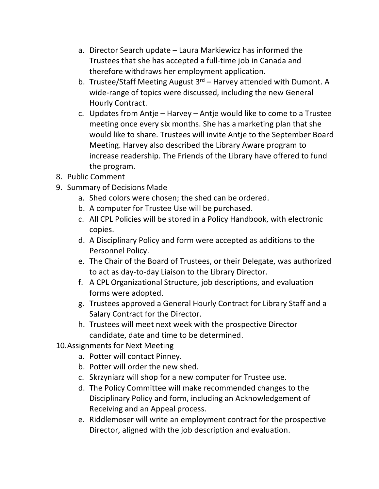- a. Director Search update Laura Markiewicz has informed the Trustees that she has accepted a full-time job in Canada and therefore withdraws her employment application.
- b. Trustee/Staff Meeting August  $3<sup>rd</sup>$  Harvey attended with Dumont. A wide-range of topics were discussed, including the new General Hourly Contract.
- c. Updates from Antje Harvey Antje would like to come to a Trustee meeting once every six months. She has a marketing plan that she would like to share. Trustees will invite Antje to the September Board Meeting. Harvey also described the Library Aware program to increase readership. The Friends of the Library have offered to fund the program.
- 8. Public Comment
- 9. Summary of Decisions Made
	- a. Shed colors were chosen; the shed can be ordered.
	- b. A computer for Trustee Use will be purchased.
	- c. All CPL Policies will be stored in a Policy Handbook, with electronic copies.
	- d. A Disciplinary Policy and form were accepted as additions to the Personnel Policy.
	- e. The Chair of the Board of Trustees, or their Delegate, was authorized to act as day-to-day Liaison to the Library Director.
	- f. A CPL Organizational Structure, job descriptions, and evaluation forms were adopted.
	- g. Trustees approved a General Hourly Contract for Library Staff and a Salary Contract for the Director.
	- h. Trustees will meet next week with the prospective Director candidate, date and time to be determined.
- 10.Assignments for Next Meeting
	- a. Potter will contact Pinney.
	- b. Potter will order the new shed.
	- c. Skrzyniarz will shop for a new computer for Trustee use.
	- d. The Policy Committee will make recommended changes to the Disciplinary Policy and form, including an Acknowledgement of Receiving and an Appeal process.
	- e. Riddlemoser will write an employment contract for the prospective Director, aligned with the job description and evaluation.